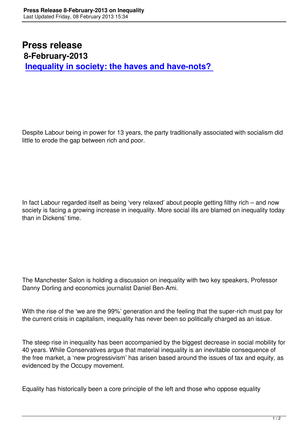Despite Labour being in power for 13 years, the party traditionally associated with socialism did little to erode the gap between rich and poor.

In fact Labour regarded itself as being 'very relaxed' about people getting filthy rich – and now society is facing a growing increase in inequality. More social ills are blamed on inequality today than in Dickens' time.

The Manchester Salon is holding a discussion on inequality with two key speakers, Professor Danny Dorling and economics journalist Daniel Ben-Ami.

With the rise of the 'we are the 99%' generation and the feeling that the super-rich must pay for the current crisis in capitalism, inequality has never been so politically charged as an issue.

The steep rise in inequality has been accompanied by the biggest decrease in social mobility for 40 years. While Conservatives argue that material inequality is an inevitable consequence of the free market, a 'new progressivism' has arisen based around the issues of tax and equity, as evidenced by the Occupy movement.

Equality has historically been a core principle of the left and those who oppose equality